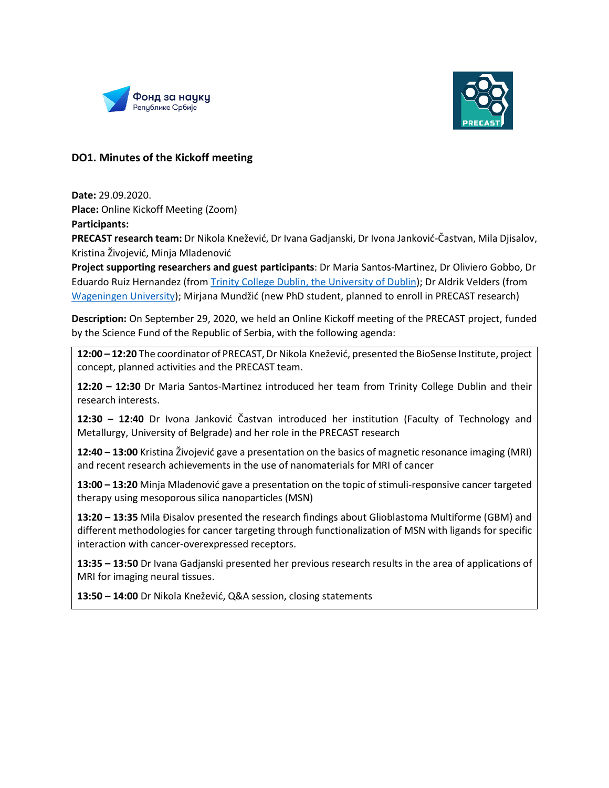



## **DO1. Minutes of the Kickoff meeting**

**Date:** 29.09.2020. **Place:** Online Kickoff Meeting (Zoom) **Participants:** 

**PRECAST research team:** Dr Nikola Knežević, Dr Ivana Gadjanski, Dr Ivona Janković-Častvan, Mila Djisalov, Kristina Živojević, Minja Mladenović

**Project supporting researchers and guest participants**: Dr Maria Santos-Martinez, Dr Oliviero Gobbo, Dr Eduardo Ruiz Hernandez (from [Trinity College Dublin, the University of Dublin\)](https://www.tcd.ie/); Dr Aldrik Velders (from [Wageningen University\)](https://www.wur.nl/?gclid=CjwKCAjw2dD7BRASEiwAWCtCbxieywmpPLDRuPDEZo_ZVhuqgEzWIngBHNvBk016TyZ8cYfJojfPmRoC5tkQAvD_BwE); Mirjana Mundžić (new PhD student, planned to enroll in PRECAST research)

**Description:** On September 29, 2020, we held an Online Kickoff meeting of the PRECAST project, funded by the Science Fund of the Republic of Serbia, with the following agenda:

**12:00 – 12:20** The coordinator of PRECAST, Dr Nikola Knežević, presented the BioSense Institute, project concept, planned activities and the PRECAST team.

**12:20 – 12:30** Dr Maria Santos-Martinez introduced her team from Trinity College Dublin and their research interests.

**12:30 – 12:40** Dr Ivona Janković Častvan introduced her institution (Faculty of Technology and Metallurgy, University of Belgrade) and her role in the PRECAST research

**12:40 – 13:00** Kristina Živojević gave a presentation on the basics of magnetic resonance imaging (MRI) and recent research achievements in the use of nanomaterials for MRI of cancer

**13:00 – 13:20** Minja Mladenović gave a presentation on the topic of stimuli-responsive cancer targeted therapy using mesoporous silica nanoparticles (MSN)

**13:20 – 13:35** Mila Đisalov presented the research findings about Glioblastoma Multiforme (GBM) and different methodologies for cancer targeting through functionalization of MSN with ligands for specific interaction with cancer-overexpressed receptors.

**13:35 – 13:50** Dr Ivana Gadjanski presented her previous research results in the area of applications of MRI for imaging neural tissues.

**13:50 – 14:00** Dr Nikola Knežević, Q&A session, closing statements